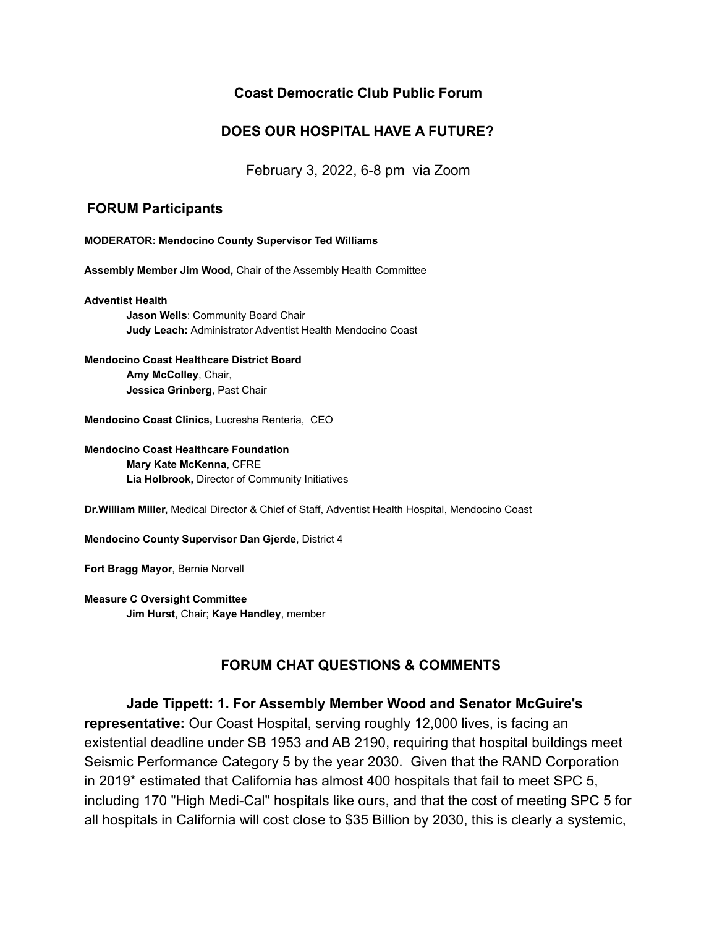## **Coast Democratic Club Public Forum**

## **DOES OUR HOSPITAL HAVE A FUTURE?**

February 3, 2022, 6-8 pm via Zoom

## **FORUM Participants**

**MODERATOR: Mendocino County Supervisor Ted Williams**

**Assembly Member Jim Wood,** Chair of the Assembly Health Committee

**Adventist Health Jason Wells**: Community Board Chair **Judy Leach:** Administrator Adventist Health Mendocino Coast

**Mendocino Coast Healthcare District Board Amy McColley**, Chair, **Jessica Grinberg**, Past Chair

**Mendocino Coast Clinics,** Lucresha Renteria, CEO

**Mendocino Coast Healthcare Foundation Mary Kate McKenna**, CFRE **Lia Holbrook,** Director of Community Initiatives

**Dr.William Miller,** Medical Director & Chief of Staff, Adventist Health Hospital, Mendocino Coast

**Mendocino County Supervisor Dan Gjerde**, District 4

**Fort Bragg Mayor**, Bernie Norvell

**Measure C Oversight Committee Jim Hurst**, Chair; **Kaye Handley**, member

## **FORUM CHAT QUESTIONS & COMMENTS**

**Jade Tippett: 1. For Assembly Member Wood and Senator McGuire's representative:** Our Coast Hospital, serving roughly 12,000 lives, is facing an existential deadline under SB 1953 and AB 2190, requiring that hospital buildings meet Seismic Performance Category 5 by the year 2030. Given that the RAND Corporation in 2019\* estimated that California has almost 400 hospitals that fail to meet SPC 5, including 170 "High Medi-Cal" hospitals like ours, and that the cost of meeting SPC 5 for all hospitals in California will cost close to \$35 Billion by 2030, this is clearly a systemic,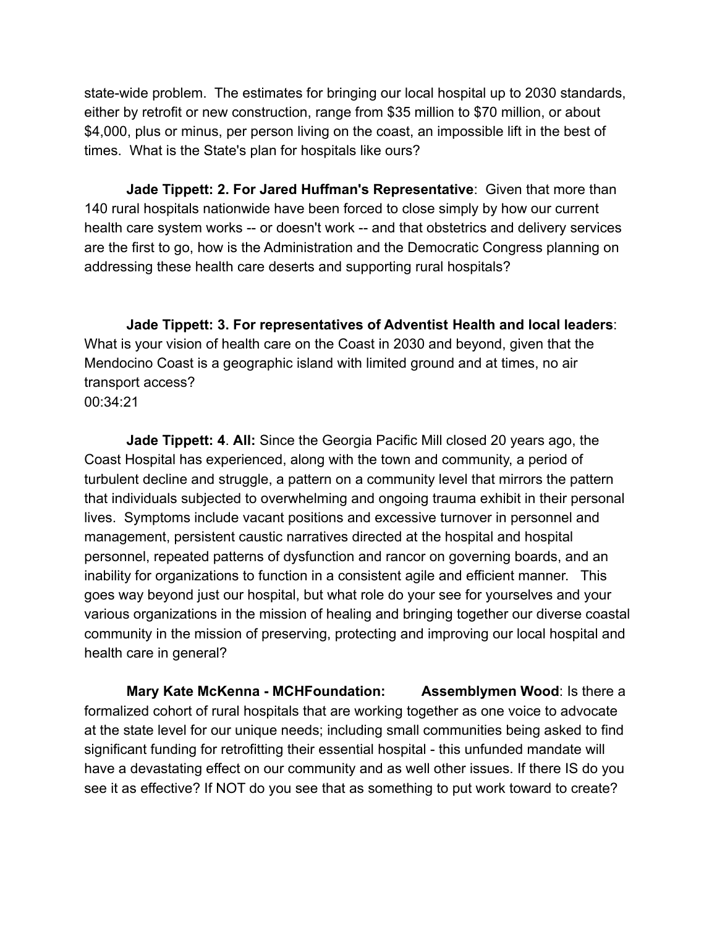state-wide problem. The estimates for bringing our local hospital up to 2030 standards, either by retrofit or new construction, range from \$35 million to \$70 million, or about \$4,000, plus or minus, per person living on the coast, an impossible lift in the best of times. What is the State's plan for hospitals like ours?

**Jade Tippett: 2. For Jared Huffman's Representative**: Given that more than 140 rural hospitals nationwide have been forced to close simply by how our current health care system works -- or doesn't work -- and that obstetrics and delivery services are the first to go, how is the Administration and the Democratic Congress planning on addressing these health care deserts and supporting rural hospitals?

**Jade Tippett: 3. For representatives of Adventist Health and local leaders**: What is your vision of health care on the Coast in 2030 and beyond, given that the Mendocino Coast is a geographic island with limited ground and at times, no air transport access? 00:34:21

**Jade Tippett: 4**. **All:** Since the Georgia Pacific Mill closed 20 years ago, the Coast Hospital has experienced, along with the town and community, a period of turbulent decline and struggle, a pattern on a community level that mirrors the pattern that individuals subjected to overwhelming and ongoing trauma exhibit in their personal lives. Symptoms include vacant positions and excessive turnover in personnel and management, persistent caustic narratives directed at the hospital and hospital personnel, repeated patterns of dysfunction and rancor on governing boards, and an inability for organizations to function in a consistent agile and efficient manner. This goes way beyond just our hospital, but what role do your see for yourselves and your various organizations in the mission of healing and bringing together our diverse coastal community in the mission of preserving, protecting and improving our local hospital and health care in general?

**Mary Kate McKenna - MCHFoundation: Assemblymen Wood**: Is there a formalized cohort of rural hospitals that are working together as one voice to advocate at the state level for our unique needs; including small communities being asked to find significant funding for retrofitting their essential hospital - this unfunded mandate will have a devastating effect on our community and as well other issues. If there IS do you see it as effective? If NOT do you see that as something to put work toward to create?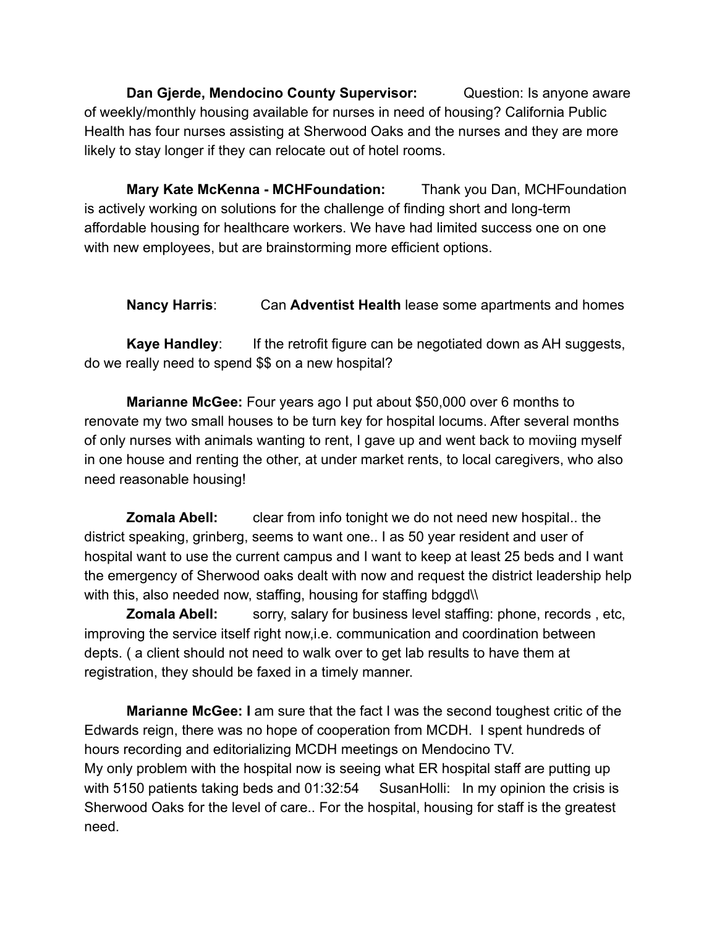**Dan Gierde, Mendocino County Supervisor:** Question: Is anyone aware of weekly/monthly housing available for nurses in need of housing? California Public Health has four nurses assisting at Sherwood Oaks and the nurses and they are more likely to stay longer if they can relocate out of hotel rooms.

**Mary Kate McKenna - MCHFoundation:** Thank you Dan, MCHFoundation is actively working on solutions for the challenge of finding short and long-term affordable housing for healthcare workers. We have had limited success one on one with new employees, but are brainstorming more efficient options.

**Nancy Harris**: Can **Adventist Health** lease some apartments and homes

**Kaye Handley**: If the retrofit figure can be negotiated down as AH suggests, do we really need to spend \$\$ on a new hospital?

**Marianne McGee:** Four years ago I put about \$50,000 over 6 months to renovate my two small houses to be turn key for hospital locums. After several months of only nurses with animals wanting to rent, I gave up and went back to moviing myself in one house and renting the other, at under market rents, to local caregivers, who also need reasonable housing!

**Zomala Abell:** clear from info tonight we do not need new hospital.. the district speaking, grinberg, seems to want one.. I as 50 year resident and user of hospital want to use the current campus and I want to keep at least 25 beds and I want the emergency of Sherwood oaks dealt with now and request the district leadership help with this, also needed now, staffing, housing for staffing bdggd\\

**Zomala Abell:** sorry, salary for business level staffing: phone, records, etc, improving the service itself right now,i.e. communication and coordination between depts. ( a client should not need to walk over to get lab results to have them at registration, they should be faxed in a timely manner.

**Marianne McGee: I** am sure that the fact I was the second toughest critic of the Edwards reign, there was no hope of cooperation from MCDH. I spent hundreds of hours recording and editorializing MCDH meetings on Mendocino TV. My only problem with the hospital now is seeing what ER hospital staff are putting up with 5150 patients taking beds and 01:32:54 SusanHolli: In my opinion the crisis is Sherwood Oaks for the level of care.. For the hospital, housing for staff is the greatest need.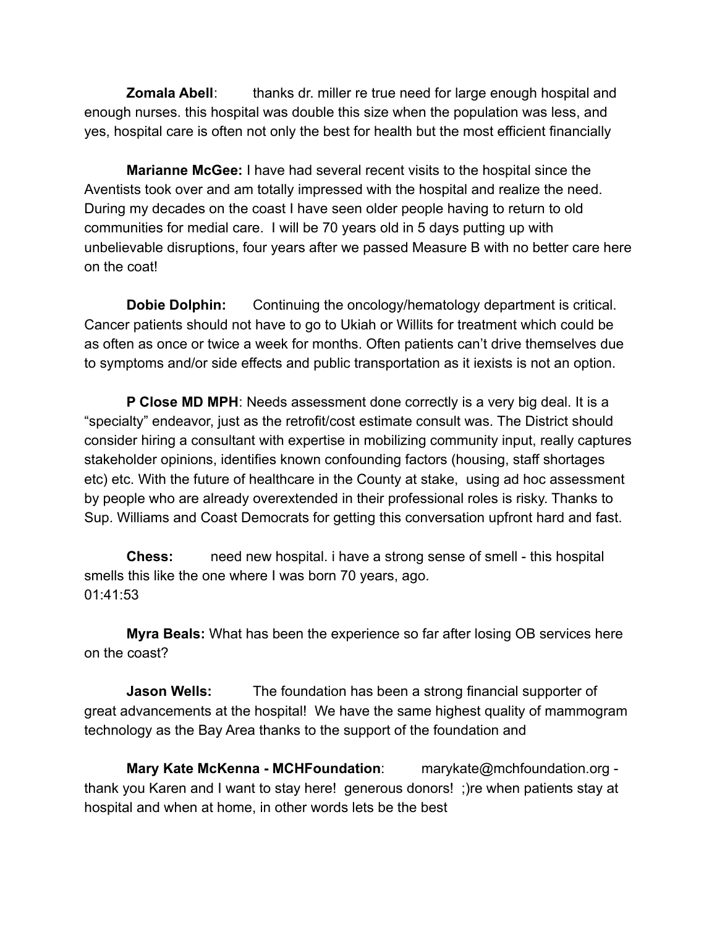**Zomala Abell:** thanks dr. miller re true need for large enough hospital and enough nurses. this hospital was double this size when the population was less, and yes, hospital care is often not only the best for health but the most efficient financially

**Marianne McGee:** I have had several recent visits to the hospital since the Aventists took over and am totally impressed with the hospital and realize the need. During my decades on the coast I have seen older people having to return to old communities for medial care. I will be 70 years old in 5 days putting up with unbelievable disruptions, four years after we passed Measure B with no better care here on the coat!

**Dobie Dolphin:** Continuing the oncology/hematology department is critical. Cancer patients should not have to go to Ukiah or Willits for treatment which could be as often as once or twice a week for months. Often patients can't drive themselves due to symptoms and/or side effects and public transportation as it iexists is not an option.

**P Close MD MPH**: Needs assessment done correctly is a very big deal. It is a "specialty" endeavor, just as the retrofit/cost estimate consult was. The District should consider hiring a consultant with expertise in mobilizing community input, really captures stakeholder opinions, identifies known confounding factors (housing, staff shortages etc) etc. With the future of healthcare in the County at stake, using ad hoc assessment by people who are already overextended in their professional roles is risky. Thanks to Sup. Williams and Coast Democrats for getting this conversation upfront hard and fast.

**Chess:** need new hospital. i have a strong sense of smell - this hospital smells this like the one where I was born 70 years, ago. 01:41:53

**Myra Beals:** What has been the experience so far after losing OB services here on the coast?

**Jason Wells:** The foundation has been a strong financial supporter of great advancements at the hospital! We have the same highest quality of mammogram technology as the Bay Area thanks to the support of the foundation and

**Mary Kate McKenna - MCHFoundation**: marykate@mchfoundation.org thank you Karen and I want to stay here! generous donors! ;)re when patients stay at hospital and when at home, in other words lets be the best